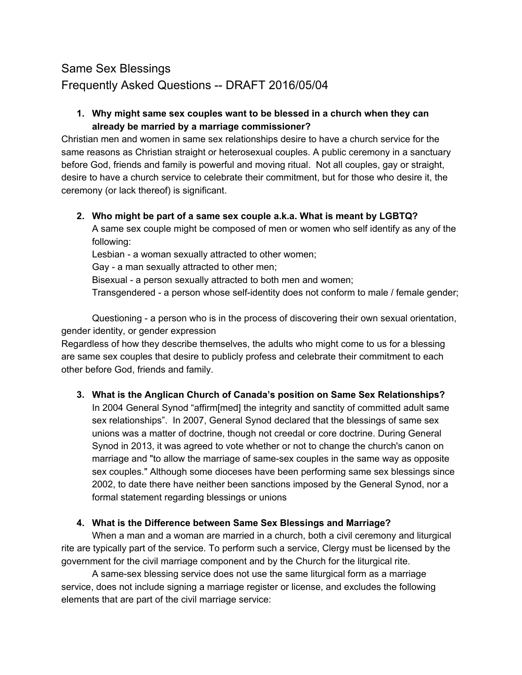# Same Sex Blessings Frequently Asked Questions -- DRAFT 2016/05/04

#### **1. Why might same sex couples want to be blessed in a church when they can already be married by a marriage commissioner?**

Christian men and women in same sex relationships desire to have a church service for the same reasons as Christian straight or heterosexual couples. A public ceremony in a sanctuary before God, friends and family is powerful and moving ritual. Not all couples, gay or straight, desire to have a church service to celebrate their commitment, but for those who desire it, the ceremony (or lack thereof) is significant.

#### **2. Who might be part of a same sex couple a.k.a. What is meant by LGBTQ?**

A same sex couple might be composed of men or women who self identify as any of the following:

Lesbian - a woman sexually attracted to other women;

Gay - a man sexually attracted to other men;

Bisexual - a person sexually attracted to both men and women;

Transgendered - a person whose self-identity does not conform to male / female gender;

Questioning - a person who is in the process of discovering their own sexual orientation, gender identity, or gender expression

Regardless of how they describe themselves, the adults who might come to us for a blessing are same sex couples that desire to publicly profess and celebrate their commitment to each other before God, friends and family.

# **3. What is the Anglican Church of Canada's position on Same Sex Relationships?**

In 2004 General Synod "affirm[med] the integrity and sanctity of committed adult same sex relationships". In 2007, General Synod declared that the blessings of same sex unions was a matter of doctrine, though not creedal or core doctrine. During General Synod in 2013, it was agreed to vote whether or not to change the church's canon on marriage and "to allow the marriage of same-sex couples in the same way as opposite sex couples." Although some dioceses have been performing same sex blessings since 2002, to date there have neither been sanctions imposed by the General Synod, nor a formal statement regarding blessings or unions

# **4. What is the Difference between Same Sex Blessings and Marriage?**

When a man and a woman are married in a church, both a civil ceremony and liturgical rite are typically part of the service. To perform such a service, Clergy must be licensed by the government for the civil marriage component and by the Church for the liturgical rite.

A same-sex blessing service does not use the same liturgical form as a marriage service, does not include signing a marriage register or license, and excludes the following elements that are part of the civil marriage service: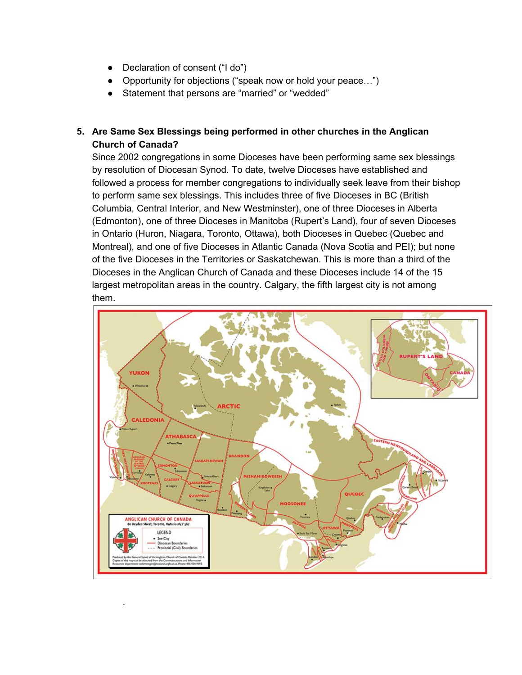Declaration of consent ("I do")

.

- Opportunity for objections ("speak now or hold your peace...")
- Statement that persons are "married" or "wedded"

# **5. Are Same Sex Blessings being performed in other churches in the Anglican Church of Canada?**

Since 2002 congregations in some Dioceses have been performing same sex blessings by resolution of Diocesan Synod. To date, twelve Dioceses have established and followed a process for member congregations to individually seek leave from their bishop to perform same sex blessings. This includes three of five Dioceses in BC (British Columbia, Central Interior, and New Westminster), one of three Dioceses in Alberta (Edmonton), one of three Dioceses in Manitoba (Rupert's Land), four of seven Dioceses in Ontario (Huron, Niagara, Toronto, Ottawa), both Dioceses in Quebec (Quebec and Montreal), and one of five Dioceses in Atlantic Canada (Nova Scotia and PEI); but none of the five Dioceses in the Territories or Saskatchewan. This is more than a third of the Dioceses in the Anglican Church of Canada and these Dioceses include 14 of the 15 largest metropolitan areas in the country. Calgary, the fifth largest city is not among them.

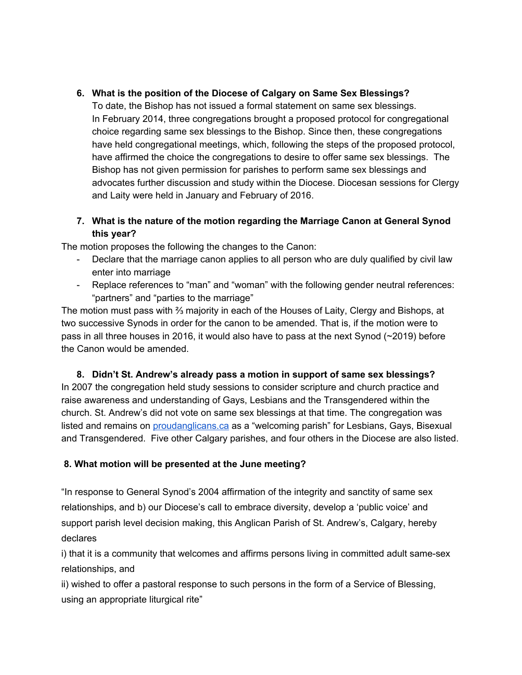## **6. What is the position of the Diocese of Calgary on Same Sex Blessings?**

To date, the Bishop has not issued a formal statement on same sex blessings. In February 2014, three congregations brought a proposed protocol for congregational choice regarding same sex blessings to the Bishop. Since then, these congregations have held congregational meetings, which, following the steps of the proposed protocol, have affirmed the choice the congregations to desire to offer same sex blessings. The Bishop has not given permission for parishes to perform same sex blessings and advocates further discussion and study within the Diocese. Diocesan sessions for Clergy and Laity were held in January and February of 2016.

## **7. What is the nature of the motion regarding the Marriage Canon at General Synod this year?**

The motion proposes the following the changes to the Canon:

- Declare that the marriage canon applies to all person who are duly qualified by civil law enter into marriage
- Replace references to "man" and "woman" with the following gender neutral references: "partners" and "parties to the marriage"

The motion must pass with ⅔ majority in each of the Houses of Laity, Clergy and Bishops, at two successive Synods in order for the canon to be amended. That is, if the motion were to pass in all three houses in 2016, it would also have to pass at the next Synod (~2019) before the Canon would be amended.

**8. Didn't St. Andrew's already pass a motion in support of same sex blessings?** In 2007 the congregation held study sessions to consider scripture and church practice and raise awareness and understanding of Gays, Lesbians and the Transgendered within the church. St. Andrew's did not vote on same sex blessings at that time. The congregation was listed and remains on **[proudanglicans.ca](http://www.proudanglicans.ca/)** as a "welcoming parish" for Lesbians, Gays, Bisexual and Transgendered. Five other Calgary parishes, and four others in the Diocese are also listed.

#### **8. What motion will be presented at the June meeting?**

"In response to General Synod's 2004 affirmation of the integrity and sanctity of same sex relationships, and b) our Diocese's call to embrace diversity, develop a 'public voice' and support parish level decision making, this Anglican Parish of St. Andrew's, Calgary, hereby declares

i) that it is a community that welcomes and affirms persons living in committed adult same-sex relationships, and

ii) wished to offer a pastoral response to such persons in the form of a Service of Blessing, using an appropriate liturgical rite"